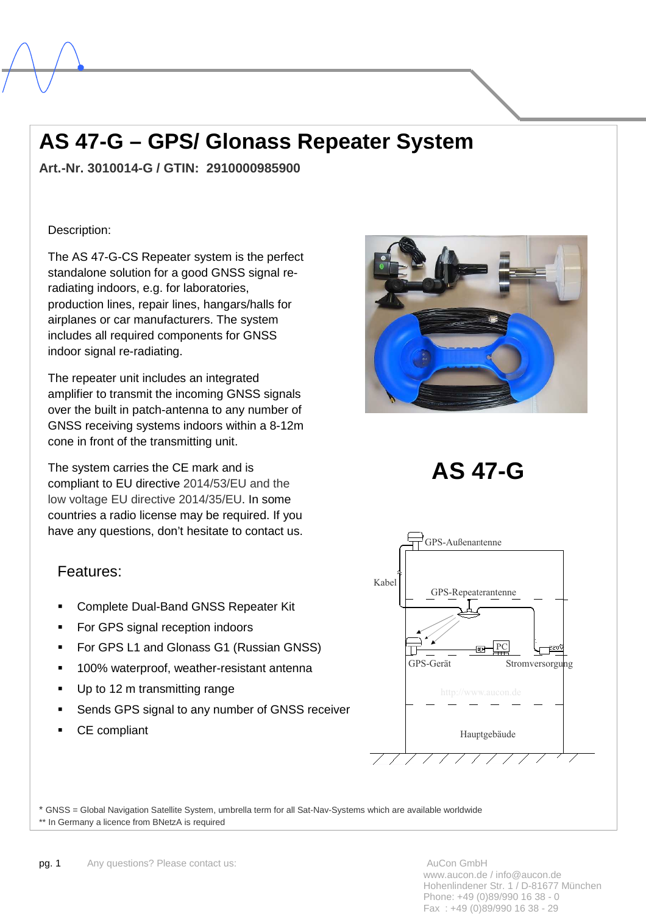# **AS 47-G – GPS/ Glonass Repeater System**

**Art.-Nr. 3010014-G / GTIN: 2910000985900** 

### Description:

l,

The AS 47-G-CS Repeater system is the perfect standalone solution for a good GNSS signal reradiating indoors, e.g. for laboratories, production lines, repair lines, hangars/halls for airplanes or car manufacturers. The system includes all required components for GNSS indoor signal re-radiating.

The repeater unit includes an integrated amplifier to transmit the incoming GNSS signals over the built in patch-antenna to any number of GNSS receiving systems indoors within a 8-12m cone in front of the transmitting unit.

The system carries the CE mark and is compliant to EU directive 2014/53/EU and the low voltage EU directive 2014/35/EU. In some countries a radio license may be required. If you have any questions, don't hesitate to contact us.







- Complete Dual-Band GNSS Repeater Kit
- For GPS signal reception indoors
- For GPS L1 and Glonass G1 (Russian GNSS)
- 100% waterproof, weather-resistant antenna
- Up to 12 m transmitting range
- Sends GPS signal to any number of GNSS receiver
- CE compliant



\* GNSS = Global Navigation Satellite System, umbrella term for all Sat-Nav-Systems which are available worldwide \*\* In Germany a licence from BNetzA is required

www.aucon.de / info@aucon.de Hohenlindener Str. 1 / D-81677 München Phone: +49 (0)89/990 16 38 - 0 Fax : +49 (0)89/990 16 38 - 29